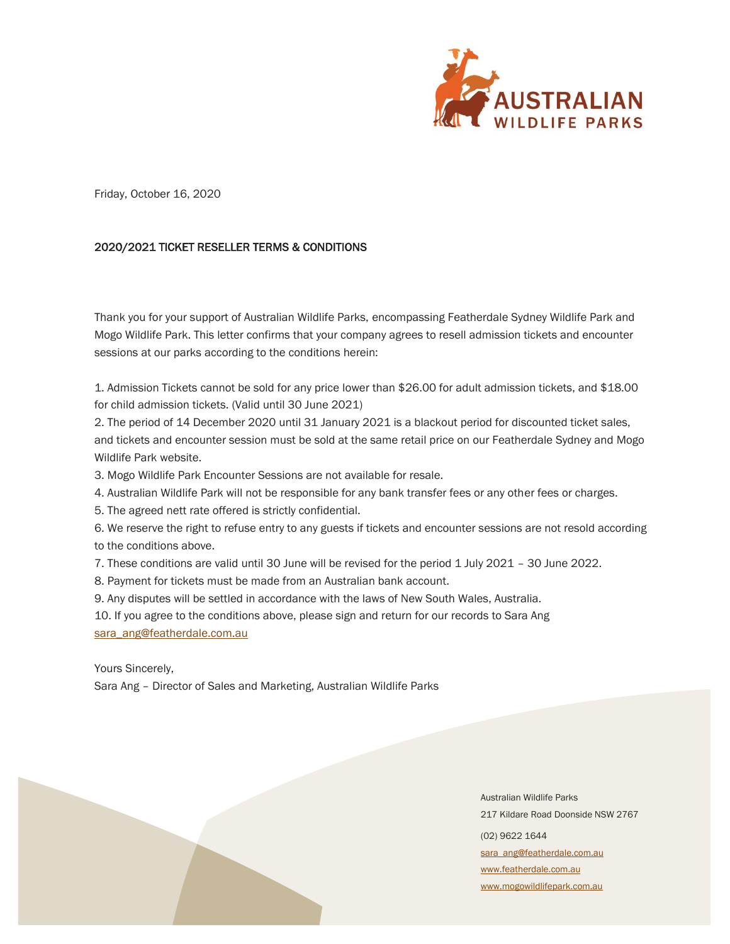

Friday, October 16, 2020

## 2020/2021 TICKET RESELLER TERMS & CONDITIONS

Thank you for your support of Australian Wildlife Parks, encompassing Featherdale Sydney Wildlife Park and Mogo Wildlife Park. This letter confirms that your company agrees to resell admission tickets and encounter sessions at our parks according to the conditions herein:

1. Admission Tickets cannot be sold for any price lower than \$26.00 for adult admission tickets, and \$18.00 for child admission tickets. (Valid until 30 June 2021)

2. The period of 14 December 2020 until 31 January 2021 is a blackout period for discounted ticket sales, and tickets and encounter session must be sold at the same retail price on our Featherdale Sydney and Mogo Wildlife Park website.

3. Mogo Wildlife Park Encounter Sessions are not available for resale.

4. Australian Wildlife Park will not be responsible for any bank transfer fees or any other fees or charges.

5. The agreed nett rate offered is strictly confidential.

6. We reserve the right to refuse entry to any guests if tickets and encounter sessions are not resold according to the conditions above.

7. These conditions are valid until 30 June will be revised for the period 1 July 2021 – 30 June 2022.

8. Payment for tickets must be made from an Australian bank account.

9. Any disputes will be settled in accordance with the laws of New South Wales, Australia.

10. If you agree to the conditions above, please sign and return for our records to Sara Ang [sara\\_ang@featherdale.com.au](mailto:sara_ang@featherdale.com.au)

Yours Sincerely,

Sara Ang – Director of Sales and Marketing, Australian Wildlife Parks

Australian Wildlife Parks 217 Kildare Road Doonside NSW 2767 (02) 9622 1644 [sara\\_ang@featherdale.com.au](mailto:sara_ang@featherdale.com.au) [www.featherdale.com.au](http://www.featherdale.com.au/) [www.mogowildlifepark.com.au](http://www.mogowildlifepark.com.au/)